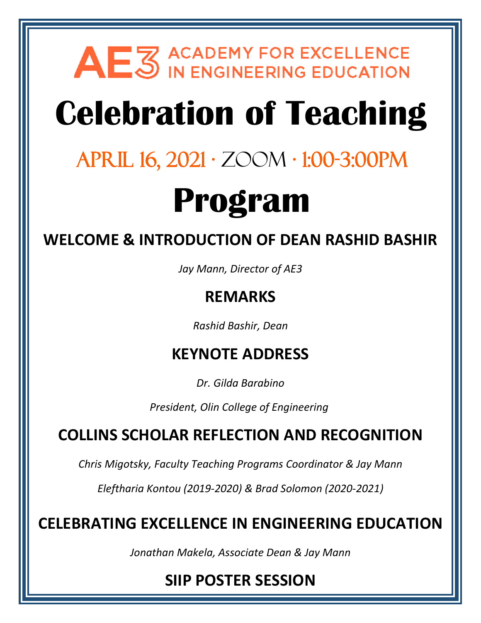# AEZ ACADEMY FOR EXCELLENCE

# **Celebration of Teaching**

## April 16, 2021 · Zoom · 1:00-3:00pm

# **Program**

**WELCOME & INTRODUCTION OF DEAN RASHID BASHIR**

*Jay Mann, Director of AE3*

## **REMARKS**

*Rashid Bashir, Dean*

## **KEYNOTE ADDRESS**

*Dr. Gilda Barabino*

*President, Olin College of Engineering*

## **COLLINS SCHOLAR REFLECTION AND RECOGNITION**

*Chris Migotsky, Faculty Teaching Programs Coordinator & Jay Mann*

*Eleftharia Kontou (2019-2020) & Brad Solomon (2020-2021)* 

**CELEBRATING EXCELLENCE IN ENGINEERING EDUCATION**

*Jonathan Makela, Associate Dean & Jay Mann*

## **SIIP POSTER SESSION**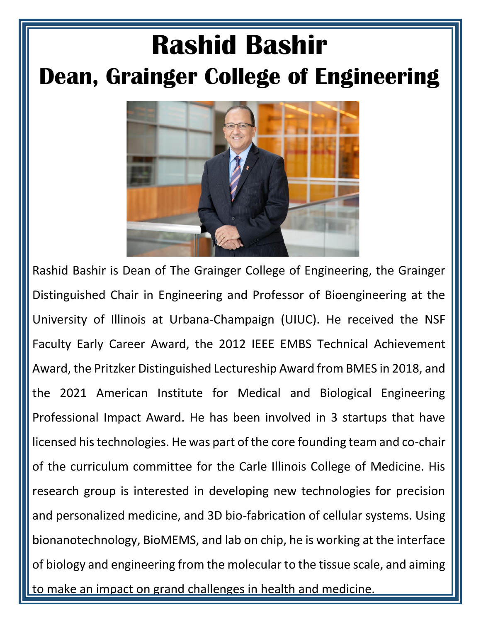## **Rashid Bashir Dean, Grainger College of Engineering**



Rashid Bashir is Dean of The Grainger College of Engineering, the Grainger Distinguished Chair in Engineering and Professor of Bioengineering at the University of Illinois at Urbana-Champaign (UIUC). He received the NSF Faculty Early Career Award, the 2012 IEEE EMBS Technical Achievement Award, the Pritzker Distinguished Lectureship Award from BMES in 2018, and the 2021 American Institute for Medical and Biological Engineering Professional Impact Award. He has been involved in 3 startups that have licensed his technologies. He was part of the core founding team and co-chair of the curriculum committee for the Carle Illinois College of Medicine. His research group is interested in developing new technologies for precision and personalized medicine, and 3D bio-fabrication of cellular systems. Using bionanotechnology, BioMEMS, and lab on chip, he is working at the interface of biology and engineering from the molecular to the tissue scale, and aiming to make an impact on grand challenges in health and medicine.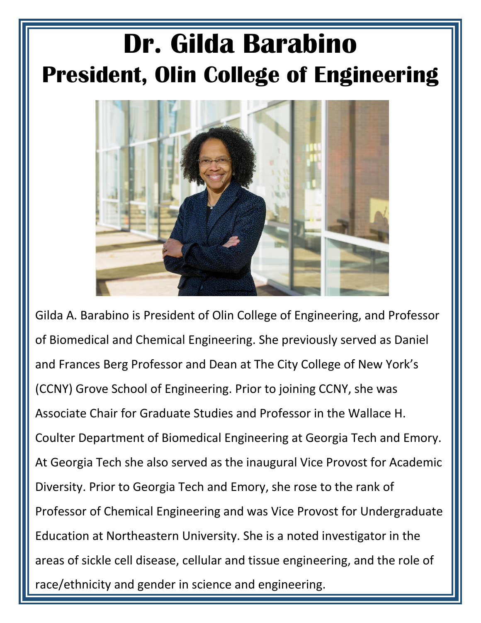## **Dr. Gilda Barabino President, Olin College of Engineering**



Gilda A. Barabino is President of Olin College of Engineering, and Professor of Biomedical and Chemical Engineering. She previously served as Daniel and Frances Berg Professor and Dean at The City College of New York's (CCNY) Grove School of Engineering. Prior to joining CCNY, she was Associate Chair for Graduate Studies and Professor in the Wallace H. Coulter Department of Biomedical Engineering at Georgia Tech and Emory. At Georgia Tech she also served as the inaugural Vice Provost for Academic Diversity. Prior to Georgia Tech and Emory, she rose to the rank of Professor of Chemical Engineering and was Vice Provost for Undergraduate Education at Northeastern University. She is a noted investigator in the areas of sickle cell disease, cellular and tissue engineering, and the role of race/ethnicity and gender in science and engineering.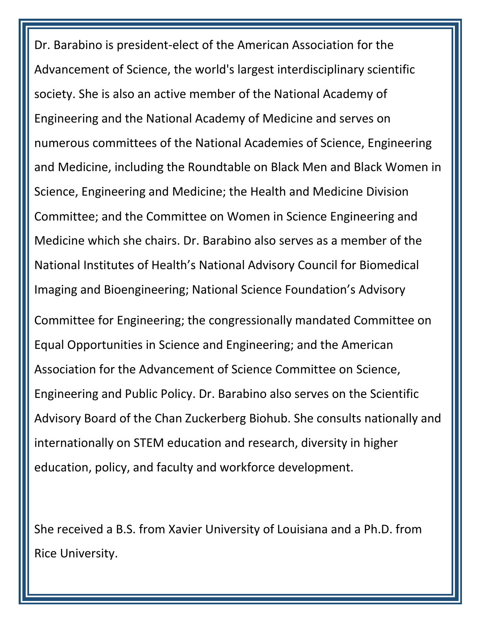Dr. Barabino is president-elect of the American Association for the Advancement of Science, the world's largest interdisciplinary scientific society. She is also an active member of the National Academy of Engineering and the National Academy of Medicine and serves on numerous committees of the National Academies of Science, Engineering and Medicine, including the Roundtable on Black Men and Black Women in Science, Engineering and Medicine; the Health and Medicine Division Committee; and the Committee on Women in Science Engineering and Medicine which she chairs. Dr. Barabino also serves as a member of the National Institutes of Health's National Advisory Council for Biomedical Imaging and Bioengineering; National Science Foundation's Advisory Committee for Engineering; the congressionally mandated Committee on Equal Opportunities in Science and Engineering; and the American Association for the Advancement of Science Committee on Science, Engineering and Public Policy. Dr. Barabino also serves on the Scientific Advisory Board of the Chan Zuckerberg Biohub. She consults nationally and internationally on STEM education and research, diversity in higher education, policy, and faculty and workforce development.

She received a B.S. from Xavier University of Louisiana and a Ph.D. from Rice University.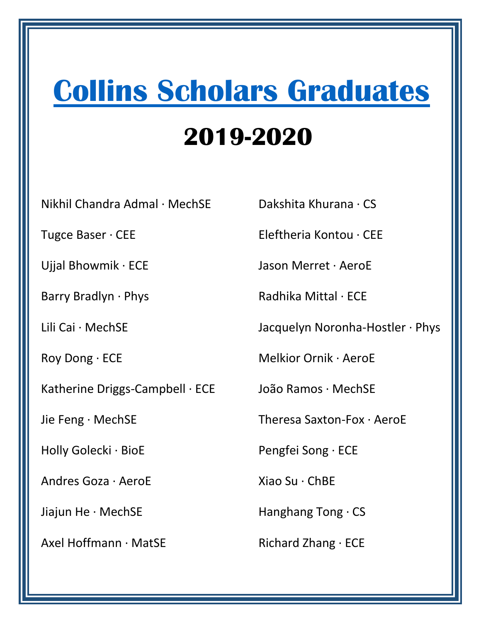## **[Collins Scholars Graduates](https://ae3.engineering.illinois.edu/collins-scholars/)**

## **2019-2020**

Nikhil Chandra Admal · MechSE

Tugce Baser · CEE

Ujjal Bhowmik · ECE

Barry Bradlyn · Phys

Lili Cai · MechSE

Roy Dong · ECE

Katherine Driggs-Campbell · ECE

Jie Feng · MechSE

Holly Golecki · BioE

Andres Goza · AeroE

Jiajun He · MechSE

Axel Hoffmann · MatSE

Dakshita Khurana · CS

Eleftheria Kontou · CEE

Jason Merret · AeroE

Radhika Mittal · ECE

Jacquelyn Noronha-Hostler · Phys

Melkior Ornik · AeroE

João Ramos · MechSE

Theresa Saxton-Fox · AeroE

Pengfei Song · ECE

Xiao Su · ChBE

Hanghang Tong · CS

Richard Zhang · ECE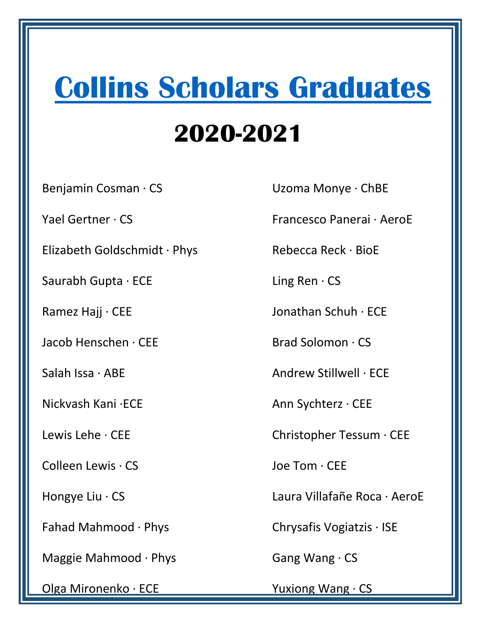## **[Collins Scholars Graduates](https://ae3.engineering.illinois.edu/collins-scholars/)**

## **2020-2021**

Benjamin Cosman · CS

Yael Gertner · CS

Elizabeth Goldschmidt · Phys

Saurabh Gupta · ECE

Ramez Hajj · CEE

Jacob Henschen · CEE

Salah Issa · ABE

Nickvash Kani ·ECE

Lewis Lehe · CEE

Colleen Lewis · CS

Hongye Liu · CS

Fahad Mahmood · Phys

Maggie Mahmood · Phys

Olga Mironenko · ECE

Uzoma Monye · ChBE

Francesco Panerai · AeroE

Rebecca Reck · BioE

Ling Ren · CS

Jonathan Schuh · ECE

Brad Solomon · CS

Andrew Stillwell · ECE

Ann Sychterz · CEE

Christopher Tessum · CEE

Joe Tom · CEE

Laura Villafañe Roca · AeroE

Chrysafis Vogiatzis · ISE

Gang Wang · CS

Yuxiong Wang · CS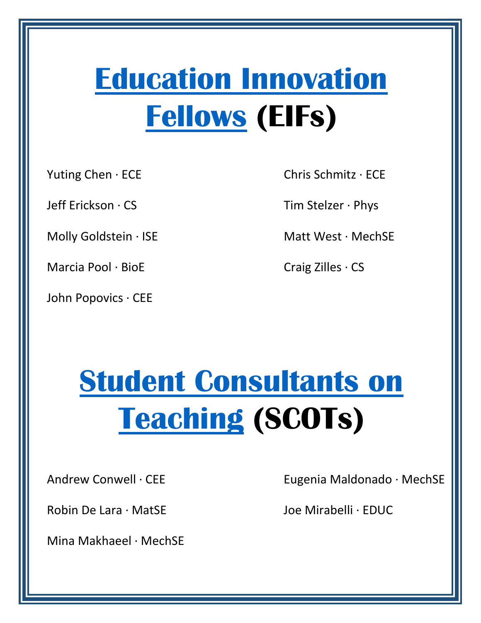## **[Education Innovation](https://ae3.engineering.illinois.edu/education-innovation-fellows-eifs/)  [Fellows](https://ae3.engineering.illinois.edu/education-innovation-fellows-eifs/) (EIFs)**

[Yuting Chen](https://ece.illinois.edu/about/directory/faculty/ywchen) · ECE

Jeff Erickson · CS

[Molly Goldstein](https://ise.illinois.edu/directory/profile/mhg3) · ISE

[Marcia Pool](https://cancer.illinois.edu/people/marcia-marci-pool) · BioE

John Popovics · CEE

[Chris Schmitz](https://ece.illinois.edu/about/directory/faculty/cdschmit) · ECE

[Tim Stelzer](https://physics.illinois.edu/people/directory/profile/tstelzer) · Phys

Matt West · MechSE

[Craig Zilles](https://zilles.cs.illinois.edu/) · CS

## **[Student Consultants on](https://ae3.engineering.illinois.edu/student-consultants-on-teaching/)  [Teaching](https://ae3.engineering.illinois.edu/student-consultants-on-teaching/) (SCOTs)**

[Andrew](https://physics.illinois.edu/people/directory/profile/tstelzer) Conwell · CEE

Robin De Lara · MatSE

Mina Makhaeel · MechSE

Eugenia Maldonado · MechSE

Joe Mirabelli · EDUC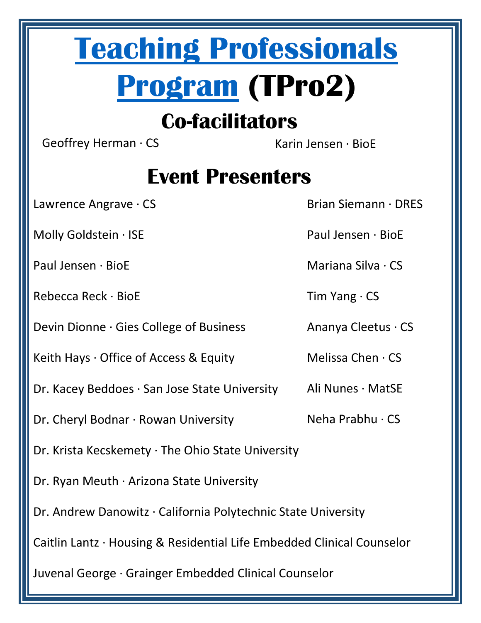## **[Teaching Professionals](https://ae3.engineering.illinois.edu/teaching-professionals-program-tpro2/)  [Program](https://ae3.engineering.illinois.edu/teaching-professionals-program-tpro2/) (TPro2)**

## **Co-facilitators**

Geoffrey Herman · CS Karin Jensen · BioE

## **Event Presenters**

Lawrence Angrave · CS

Molly Goldstein · ISE

Paul Jensen · BioE

Rebecca Reck · BioE

Devin Dionne · Gies College of Business

Keith Hays · Office of Access & Equity

Dr. Kacey Beddoes · San Jose State University Ali Nunes · MatSE

Dr. Cheryl Bodnar · Rowan University

Melissa Chen · CS

Dr. Krista Kecskemety · The Ohio State University

Dr. Ryan Meuth · Arizona State University

Dr. Andrew Danowitz · California Polytechnic State University

Caitlin Lantz · Housing & Residential Life Embedded Clinical Counselor

Juvenal George · Grainger Embedded Clinical Counselor

Brian Siemann · DRES

Paul Jensen · BioE

Mariana Silva · CS

Tim Yang · CS

Ananya Cleetus · CS

Neha Prabhu · CS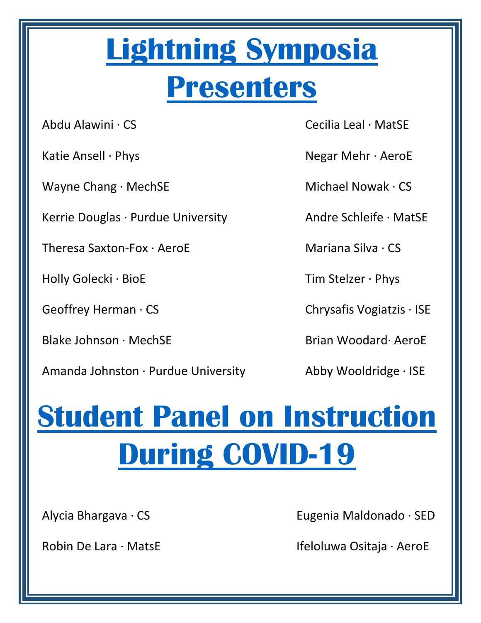# **[Lightning Symposia](https://ae3.engineering.illinois.edu/events-activities/)**

## **[Presenters](https://ae3.engineering.illinois.edu/events-activities/)**

Abdu Alawini · CS

Katie Ansell · Phys

Wayne Chang · MechSE

Kerrie Douglas · Purdue University

Theresa Saxton-Fox · AeroE

Holly Golecki · BioE

Geoffrey Herman · CS

Blake Johnson · MechSE

Amanda Johnston · Purdue University

Cecilia Leal · MatSE

Negar Mehr · AeroE

Michael Nowak · CS

Andre Schleife · MatSE

Mariana Silva · CS

Tim Stelzer · Phys

Chrysafis Vogiatzis · ISE

Brian Woodard· AeroE

Abby Wooldridge · ISE

# **Student Panel on Instruction [During COVID-19](https://ae3.engineering.illinois.edu/events-activities/)**

Alycia Bhargava · CS

Robin De Lara · MatsE

Eugenia Maldonado · SED

Ifeloluwa Ositaja · AeroE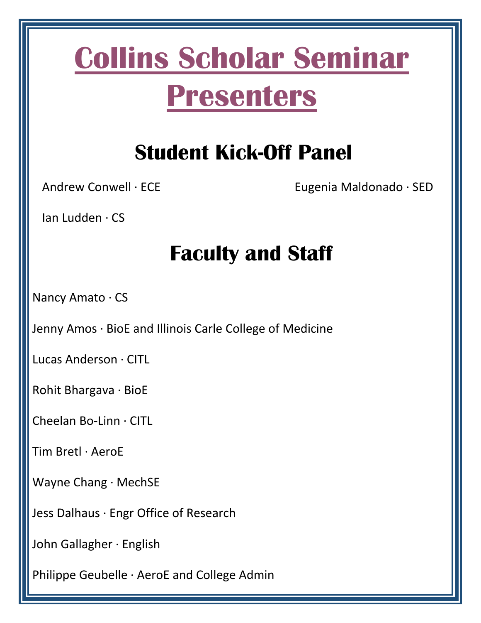## **[Collins Scholar Seminar](https://ae3.engineering.illinois.edu/files/2021/01/Collins-Scholar-Syllabus-2020-2021-1.pdf)  [Presenters](https://ae3.engineering.illinois.edu/files/2021/01/Collins-Scholar-Syllabus-2020-2021-1.pdf)**

## **Student Kick-Off Panel**

Andrew Conwell · ECE

Eugenia Maldonado · SED

Ian Ludden · CS

## **Faculty and Staff**

Nancy Amato · CS

Jenny Amos · BioE and Illinois Carle College of Medicine

Lucas Anderson · CITL

Rohit Bhargava · BioE

Cheelan Bo-Linn · CITL

Tim Bretl · AeroE

Wayne Chang · MechSE

Jess Dalhaus · Engr Office of Research

John Gallagher · English

Philippe Geubelle · AeroE and College Admin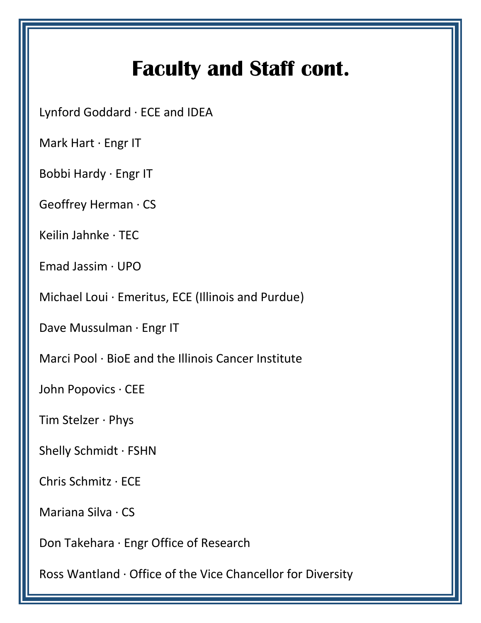## **Faculty and Staff cont.**

Lynford Goddard · ECE and IDEA

Mark Hart · Engr IT

Bobbi Hardy · Engr IT

Geoffrey Herman · CS

Keilin Jahnke · TEC

Emad Jassim · UPO

Michael Loui · Emeritus, ECE (Illinois and Purdue)

Dave Mussulman · Engr IT

Marci Pool · BioE and the Illinois Cancer Institute

John Popovics · CEE

Tim Stelzer · Phys

Shelly Schmidt · FSHN

Chris Schmitz · ECE

Mariana Silva · CS

Don Takehara · Engr Office of Research

Ross Wantland · Office of the Vice Chancellor for Diversity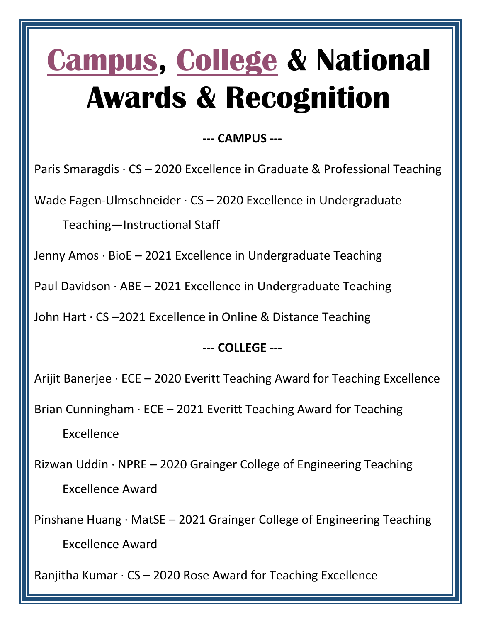## **[Campus,](https://provost.illinois.edu/awards/campus-awards-honors/campus-awards-for-excellence-in-instruction/previous-recipients-of-campus-awards-for-excellence-in-instruction/) [College](https://grainger.illinois.edu/research/faculty-awards) & National Awards & Recognition**

#### **--- CAMPUS ---**

Paris Smaragdis · CS – 2020 Excellence in Graduate & Professional Teaching

Wade Fagen-Ulmschneider · CS – 2020 Excellence in Undergraduate

Teaching—Instructional Staff

Jenny Amos · BioE – 2021 Excellence in Undergraduate Teaching

Paul Davidson  $\cdot$  ABE – 2021 Excellence in Undergraduate Teaching

John Hart · CS –2021 Excellence in Online & Distance Teaching

### **--- COLLEGE ---**

Arijit Banerjee · ECE – 2020 Everitt Teaching Award for Teaching Excellence

Brian Cunningham  $\cdot$  ECE – 2021 Everitt Teaching Award for Teaching

Excellence

Rizwan Uddin · NPRE – 2020 Grainger College of Engineering Teaching Excellence Award

Pinshane Huang · MatSE – 2021 Grainger College of Engineering Teaching Excellence Award

Ranjitha Kumar  $\cdot$  CS – 2020 Rose Award for Teaching Excellence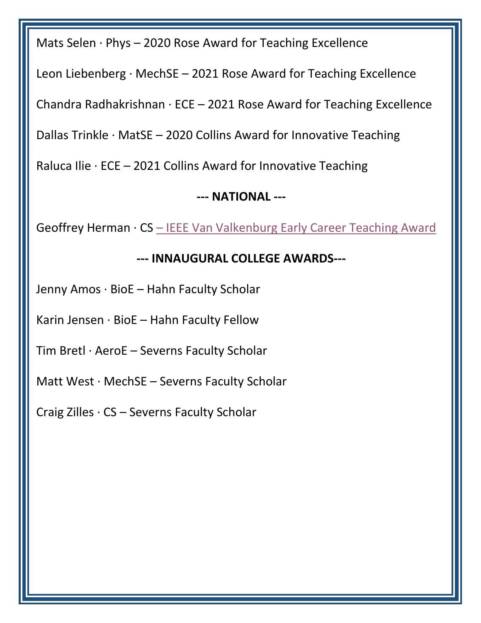Mats Selen · Phys – 2020 Rose Award for Teaching Excellence

Leon Liebenberg  $\cdot$  MechSE – 2021 Rose Award for Teaching Excellence

Chandra Radhakrishnan · ECE – 2021 Rose Award for Teaching Excellence

Dallas Trinkle  $\cdot$  MatSE – 2020 Collins Award for Innovative Teaching

Raluca Ilie  $\cdot$  ECE – 2021 Collins Award for Innovative Teaching

#### **--- NATIONAL ---**

Geoffrey Herman · CS - [IEEE Van Valkenburg Early Career Teaching Award](https://ieee-edusociety.org/awards/mac-van-valkenburg-early-career-teaching-award)

#### **--- INNAUGURAL COLLEGE AWARDS---**

Jenny Amos · BioE – Hahn Faculty Scholar

Karin Jensen  $\cdot$  BioE – Hahn Faculty Fellow

Tim Bretl · AeroE – Severns Faculty Scholar

Matt West · MechSE – Severns Faculty Scholar

Craig Zilles · CS – Severns Faculty Scholar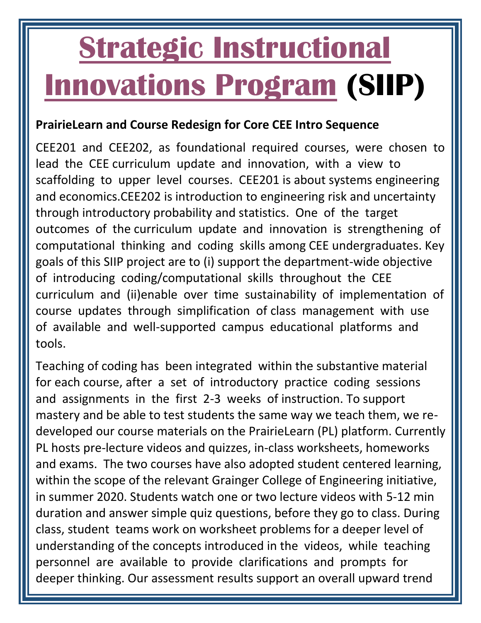# **[Strategic Instructional](https://ae3.engineering.illinois.edu/siip-grants/)  [Innovations Program](https://ae3.engineering.illinois.edu/siip-grants/) (SIIP)**

#### **PrairieLearn and Course Redesign for Core CEE Intro Sequence**

CEE201 and CEE202, as foundational required courses, were chosen to lead the CEE curriculum update and innovation, with a view to scaffolding to upper level courses. CEE201 is about systems engineering and economics.CEE202 is introduction to engineering risk and uncertainty through introductory probability and statistics. One of the target outcomes of the curriculum update and innovation is strengthening of computational thinking and coding skills among CEE undergraduates. Key goals of this SIIP project are to (i) support the department-wide objective of introducing coding/computational skills throughout the CEE curriculum and (ii)enable over time sustainability of implementation of course updates through simplification of class management with use of available and well-supported campus educational platforms and tools.

Teaching of coding has been integrated within the substantive material for each course, after a set of introductory practice coding sessions and assignments in the first 2-3 weeks of instruction. To support mastery and be able to test students the same way we teach them, we redeveloped our course materials on the PrairieLearn (PL) platform. Currently PL hosts pre-lecture videos and quizzes, in-class worksheets, homeworks and exams. The two courses have also adopted student centered learning, within the scope of the relevant Grainger College of Engineering initiative, in summer 2020. Students watch one or two lecture videos with 5-12 min duration and answer simple quiz questions, before they go to class. During class, student teams work on worksheet problems for a deeper level of understanding of the concepts introduced in the videos, while teaching personnel are available to provide clarifications and prompts for deeper thinking. Our assessment results support an overall upward trend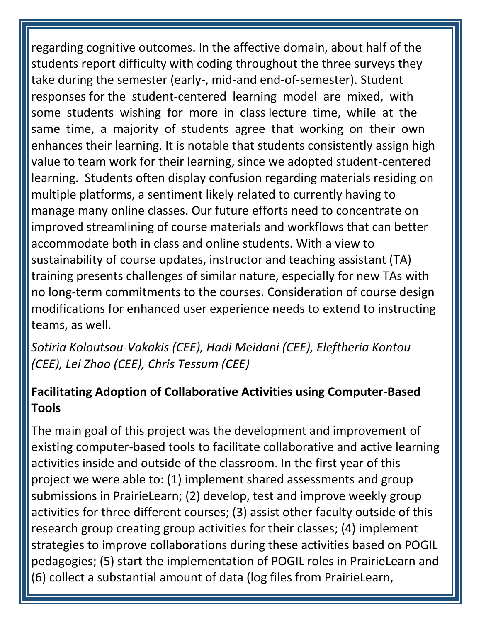regarding cognitive outcomes. In the affective domain, about half of the students report difficulty with coding throughout the three surveys they take during the semester (early-, mid-and end-of-semester). Student responses for the student-centered learning model are mixed, with some students wishing for more in class lecture time, while at the same time, a majority of students agree that working on their own enhances their learning. It is notable that students consistently assign high value to team work for their learning, since we adopted student-centered learning. Students often display confusion regarding materials residing on multiple platforms, a sentiment likely related to currently having to manage many online classes. Our future efforts need to concentrate on improved streamlining of course materials and workflows that can better accommodate both in class and online students. With a view to sustainability of course updates, instructor and teaching assistant (TA) training presents challenges of similar nature, especially for new TAs with no long-term commitments to the courses. Consideration of course design modifications for enhanced user experience needs to extend to instructing teams, as well.

*Sotiria Koloutsou-Vakakis (CEE), Hadi Meidani (CEE), Eleftheria Kontou (CEE), Lei Zhao (CEE), Chris Tessum (CEE)*

### **Facilitating Adoption of Collaborative Activities using Computer-Based Tools**

The main goal of this project was the development and improvement of existing computer-based tools to facilitate collaborative and active learning activities inside and outside of the classroom. In the first year of this project we were able to: (1) implement shared assessments and group submissions in PrairieLearn; (2) develop, test and improve weekly group activities for three different courses; (3) assist other faculty outside of this research group creating group activities for their classes; (4) implement strategies to improve collaborations during these activities based on POGIL pedagogies; (5) start the implementation of POGIL roles in PrairieLearn and (6) collect a substantial amount of data (log files from PrairieLearn,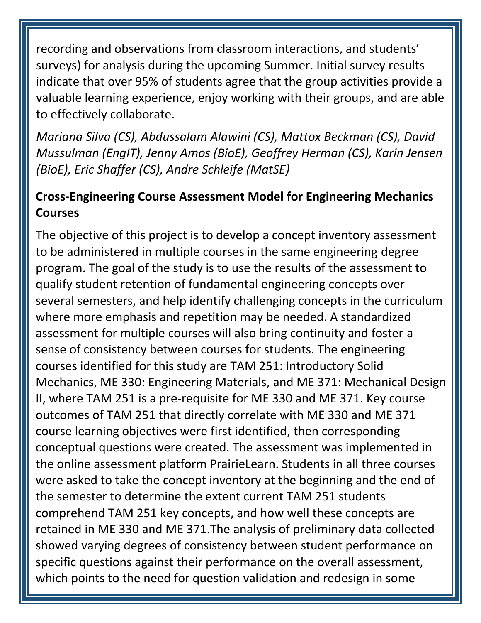recording and observations from classroom interactions, and students' surveys) for analysis during the upcoming Summer. Initial survey results indicate that over 95% of students agree that the group activities provide a valuable learning experience, enjoy working with their groups, and are able to effectively collaborate.

*Mariana Silva (CS), Abdussalam Alawini (CS), Mattox Beckman (CS), David Mussulman (EngIT), Jenny Amos (BioE), Geoffrey Herman (CS), Karin Jensen (BioE), Eric Shaffer (CS), Andre Schleife (MatSE)*

### **Cross-Engineering Course Assessment Model for Engineering Mechanics Courses**

The objective of this project is to develop a concept inventory assessment to be administered in multiple courses in the same engineering degree program. The goal of the study is to use the results of the assessment to qualify student retention of fundamental engineering concepts over several semesters, and help identify challenging concepts in the curriculum where more emphasis and repetition may be needed. A standardized assessment for multiple courses will also bring continuity and foster a sense of consistency between courses for students. The engineering courses identified for this study are TAM 251: Introductory Solid Mechanics, ME 330: Engineering Materials, and ME 371: Mechanical Design II, where TAM 251 is a pre-requisite for ME 330 and ME 371. Key course outcomes of TAM 251 that directly correlate with ME 330 and ME 371 course learning objectives were first identified, then corresponding conceptual questions were created. The assessment was implemented in the online assessment platform PrairieLearn. Students in all three courses were asked to take the concept inventory at the beginning and the end of the semester to determine the extent current TAM 251 students comprehend TAM 251 key concepts, and how well these concepts are retained in ME 330 and ME 371.The analysis of preliminary data collected showed varying degrees of consistency between student performance on specific questions against their performance on the overall assessment, which points to the need for question validation and redesign in some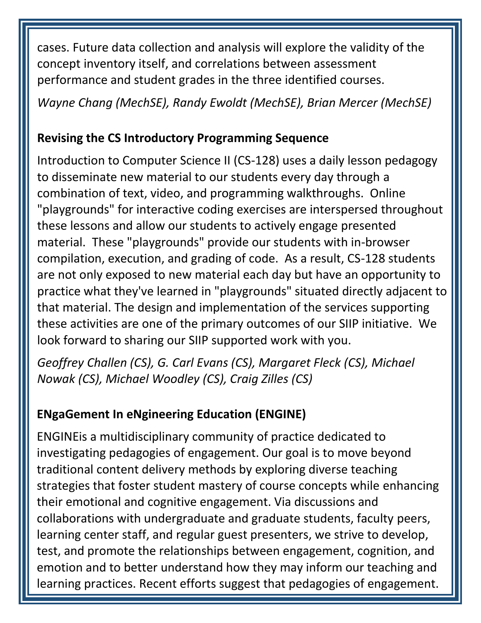cases. Future data collection and analysis will explore the validity of the concept inventory itself, and correlations between assessment performance and student grades in the three identified courses.

*Wayne Chang (MechSE), Randy Ewoldt (MechSE), Brian Mercer (MechSE)*

#### **Revising the CS Introductory Programming Sequence**

Introduction to Computer Science II (CS-128) uses a daily lesson pedagogy to disseminate new material to our students every day through a combination of text, video, and programming walkthroughs. Online "playgrounds" for interactive coding exercises are interspersed throughout these lessons and allow our students to actively engage presented material. These "playgrounds" provide our students with in-browser compilation, execution, and grading of code. As a result, CS-128 students are not only exposed to new material each day but have an opportunity to practice what they've learned in "playgrounds" situated directly adjacent to that material. The design and implementation of the services supporting these activities are one of the primary outcomes of our SIIP initiative. We look forward to sharing our SIIP supported work with you.

*Geoffrey Challen (CS), G. Carl Evans (CS), Margaret Fleck (CS), Michael Nowak (CS), Michael Woodley (CS), Craig Zilles (CS)*

### **ENgaGement In eNgineering Education (ENGINE)**

ENGINEis a multidisciplinary community of practice dedicated to investigating pedagogies of engagement. Our goal is to move beyond traditional content delivery methods by exploring diverse teaching strategies that foster student mastery of course concepts while enhancing their emotional and cognitive engagement. Via discussions and collaborations with undergraduate and graduate students, faculty peers, learning center staff, and regular guest presenters, we strive to develop, test, and promote the relationships between engagement, cognition, and emotion and to better understand how they may inform our teaching and learning practices. Recent efforts suggest that pedagogies of engagement.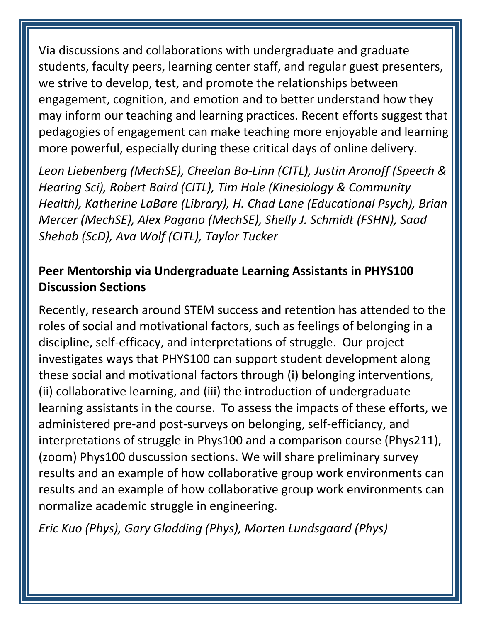Via discussions and collaborations with undergraduate and graduate students, faculty peers, learning center staff, and regular guest presenters, we strive to develop, test, and promote the relationships between engagement, cognition, and emotion and to better understand how they may inform our teaching and learning practices. Recent efforts suggest that pedagogies of engagement can make teaching more enjoyable and learning more powerful, especially during these critical days of online delivery.

*Leon Liebenberg (MechSE), Cheelan Bo-Linn (CITL), Justin Aronoff (Speech & Hearing Sci), Robert Baird (CITL), Tim Hale (Kinesiology & Community Health), Katherine LaBare (Library), H. Chad Lane (Educational Psych), Brian Mercer (MechSE), Alex Pagano (MechSE), Shelly J. Schmidt (FSHN), Saad Shehab (ScD), Ava Wolf (CITL), Taylor Tucker*

### **Peer Mentorship via Undergraduate Learning Assistants in PHYS100 Discussion Sections**

Recently, research around STEM success and retention has attended to the roles of social and motivational factors, such as feelings of belonging in a discipline, self-efficacy, and interpretations of struggle. Our project investigates ways that PHYS100 can support student development along these social and motivational factors through (i) belonging interventions, (ii) collaborative learning, and (iii) the introduction of undergraduate learning assistants in the course. To assess the impacts of these efforts, we administered pre-and post-surveys on belonging, self-efficiancy, and interpretations of struggle in Phys100 and a comparison course (Phys211), (zoom) Phys100 duscussion sections. We will share preliminary survey results and an example of how collaborative group work environments can results and an example of how collaborative group work environments can normalize academic struggle in engineering.

*Eric Kuo (Phys), Gary Gladding (Phys), Morten Lundsgaard (Phys)*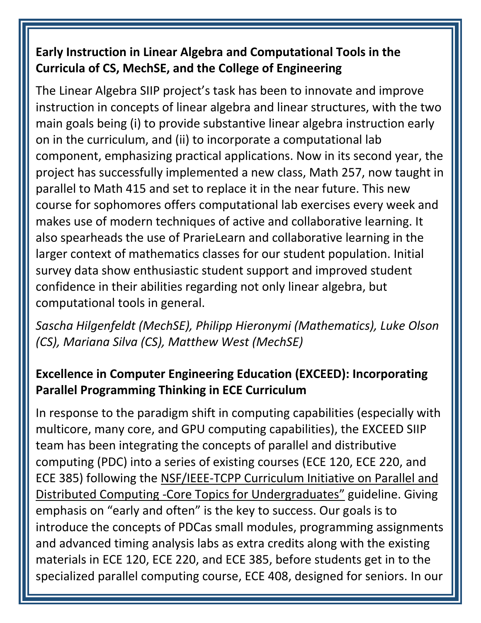### **Early Instruction in Linear Algebra and Computational Tools in the Curricula of CS, MechSE, and the College of Engineering**

The Linear Algebra SIIP project's task has been to innovate and improve instruction in concepts of linear algebra and linear structures, with the two main goals being (i) to provide substantive linear algebra instruction early on in the curriculum, and (ii) to incorporate a computational lab component, emphasizing practical applications. Now in its second year, the project has successfully implemented a new class, Math 257, now taught in parallel to Math 415 and set to replace it in the near future. This new course for sophomores offers computational lab exercises every week and makes use of modern techniques of active and collaborative learning. It also spearheads the use of PrarieLearn and collaborative learning in the larger context of mathematics classes for our student population. Initial survey data show enthusiastic student support and improved student confidence in their abilities regarding not only linear algebra, but computational tools in general.

*Sascha Hilgenfeldt (MechSE), Philipp Hieronymi (Mathematics), Luke Olson (CS), Mariana Silva (CS), Matthew West (MechSE)*

### **Excellence in Computer Engineering Education (EXCEED): Incorporating Parallel Programming Thinking in ECE Curriculum**

In response to the paradigm shift in computing capabilities (especially with multicore, many core, and GPU computing capabilities), the EXCEED SIIP team has been integrating the concepts of parallel and distributive computing (PDC) into a series of existing courses (ECE 120, ECE 220, and ECE 385) following the NSF/IEEE-TCPP Curriculum Initiative on Parallel and Distributed Computing -Core Topics for Undergraduates" guideline. Giving emphasis on "early and often" is the key to success. Our goals is to introduce the concepts of PDCas small modules, programming assignments and advanced timing analysis labs as extra credits along with the existing materials in ECE 120, ECE 220, and ECE 385, before students get in to the specialized parallel computing course, ECE 408, designed for seniors. In our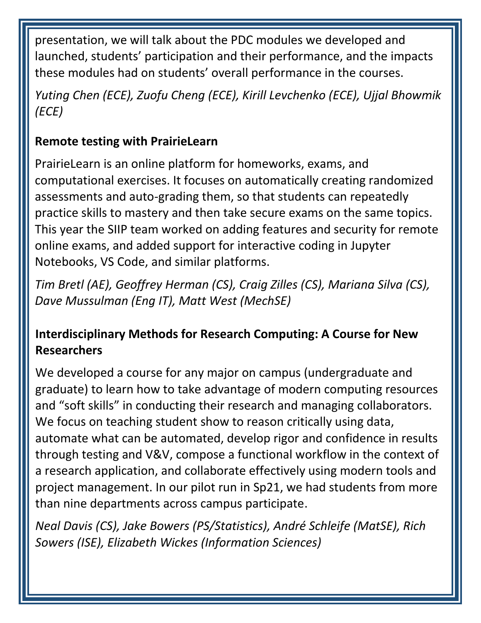presentation, we will talk about the PDC modules we developed and launched, students' participation and their performance, and the impacts these modules had on students' overall performance in the courses.

*Yuting Chen (ECE), Zuofu Cheng (ECE), Kirill Levchenko (ECE), Ujjal Bhowmik (ECE)*

### **Remote testing with PrairieLearn**

PrairieLearn is an online platform for homeworks, exams, and computational exercises. It focuses on automatically creating randomized assessments and auto-grading them, so that students can repeatedly practice skills to mastery and then take secure exams on the same topics. This year the SIIP team worked on adding features and security for remote online exams, and added support for interactive coding in Jupyter Notebooks, VS Code, and similar platforms.

*Tim Bretl (AE), Geoffrey Herman (CS), Craig Zilles (CS), Mariana Silva (CS), Dave Mussulman (Eng IT), Matt West (MechSE)*

### **Interdisciplinary Methods for Research Computing: A Course for New Researchers**

We developed a course for any major on campus (undergraduate and graduate) to learn how to take advantage of modern computing resources and "soft skills" in conducting their research and managing collaborators. We focus on teaching student show to reason critically using data, automate what can be automated, develop rigor and confidence in results through testing and V&V, compose a functional workflow in the context of a research application, and collaborate effectively using modern tools and project management. In our pilot run in Sp21, we had students from more than nine departments across campus participate.

*Neal Davis (CS), Jake Bowers (PS/Statistics), André Schleife (MatSE), Rich Sowers (ISE), Elizabeth Wickes (Information Sciences)*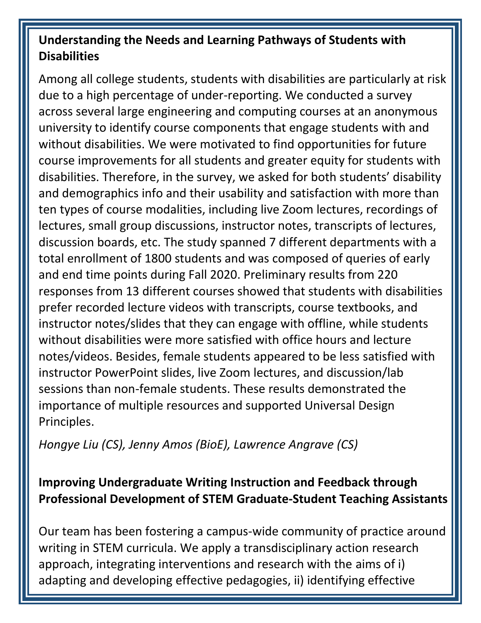#### **Understanding the Needs and Learning Pathways of Students with Disabilities**

Among all college students, students with disabilities are particularly at risk due to a high percentage of under-reporting. We conducted a survey across several large engineering and computing courses at an anonymous university to identify course components that engage students with and without disabilities. We were motivated to find opportunities for future course improvements for all students and greater equity for students with disabilities. Therefore, in the survey, we asked for both students' disability and demographics info and their usability and satisfaction with more than ten types of course modalities, including live Zoom lectures, recordings of lectures, small group discussions, instructor notes, transcripts of lectures, discussion boards, etc. The study spanned 7 different departments with a total enrollment of 1800 students and was composed of queries of early and end time points during Fall 2020. Preliminary results from 220 responses from 13 different courses showed that students with disabilities prefer recorded lecture videos with transcripts, course textbooks, and instructor notes/slides that they can engage with offline, while students without disabilities were more satisfied with office hours and lecture notes/videos. Besides, female students appeared to be less satisfied with instructor PowerPoint slides, live Zoom lectures, and discussion/lab sessions than non-female students. These results demonstrated the importance of multiple resources and supported Universal Design Principles.

*Hongye Liu (CS), Jenny Amos (BioE), Lawrence Angrave (CS)*

### **Improving Undergraduate Writing Instruction and Feedback through Professional Development of STEM Graduate-Student Teaching Assistants**

Our team has been fostering a campus-wide community of practice around writing in STEM curricula. We apply a transdisciplinary action research approach, integrating interventions and research with the aims of i) adapting and developing effective pedagogies, ii) identifying effective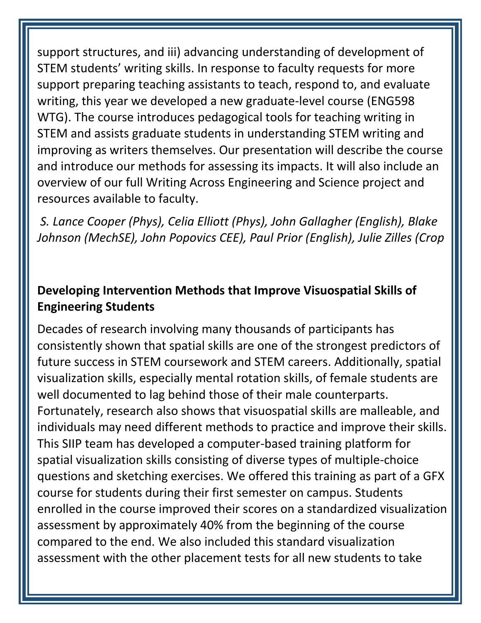support structures, and iii) advancing understanding of development of STEM students' writing skills. In response to faculty requests for more support preparing teaching assistants to teach, respond to, and evaluate writing, this year we developed a new graduate-level course (ENG598 WTG). The course introduces pedagogical tools for teaching writing in STEM and assists graduate students in understanding STEM writing and improving as writers themselves. Our presentation will describe the course and introduce our methods for assessing its impacts. It will also include an overview of our full Writing Across Engineering and Science project and resources available to faculty.

*S. Lance Cooper (Phys), Celia Elliott (Phys), John Gallagher (English), Blake Johnson (MechSE), John Popovics CEE), Paul Prior (English), Julie Zilles (Crop* 

#### **Developing Intervention Methods that Improve Visuospatial Skills of Engineering Students**

Decades of research involving many thousands of participants has consistently shown that spatial skills are one of the strongest predictors of future success in STEM coursework and STEM careers. Additionally, spatial visualization skills, especially mental rotation skills, of female students are well documented to lag behind those of their male counterparts. Fortunately, research also shows that visuospatial skills are malleable, and individuals may need different methods to practice and improve their skills. This SIIP team has developed a computer-based training platform for spatial visualization skills consisting of diverse types of multiple-choice questions and sketching exercises. We offered this training as part of a GFX course for students during their first semester on campus. Students enrolled in the course improved their scores on a standardized visualization assessment by approximately 40% from the beginning of the course compared to the end. We also included this standard visualization assessment with the other placement tests for all new students to take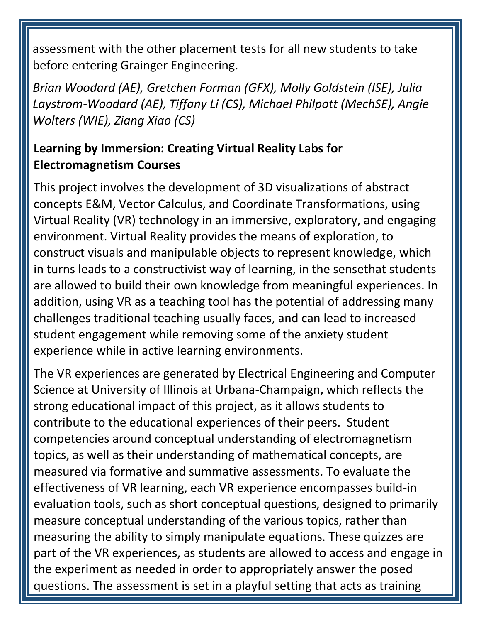assessment with the other placement tests for all new students to take before entering Grainger Engineering.

*Brian Woodard (AE), Gretchen Forman (GFX), Molly Goldstein (ISE), Julia Laystrom-Woodard (AE), Tiffany Li (CS), Michael Philpott (MechSE), Angie Wolters (WIE), Ziang Xiao (CS)*

#### **Learning by Immersion: Creating Virtual Reality Labs for Electromagnetism Courses**

This project involves the development of 3D visualizations of abstract concepts E&M, Vector Calculus, and Coordinate Transformations, using Virtual Reality (VR) technology in an immersive, exploratory, and engaging environment. Virtual Reality provides the means of exploration, to construct visuals and manipulable objects to represent knowledge, which in turns leads to a constructivist way of learning, in the sensethat students are allowed to build their own knowledge from meaningful experiences. In addition, using VR as a teaching tool has the potential of addressing many challenges traditional teaching usually faces, and can lead to increased student engagement while removing some of the anxiety student experience while in active learning environments.

The VR experiences are generated by Electrical Engineering and Computer Science at University of Illinois at Urbana-Champaign, which reflects the strong educational impact of this project, as it allows students to contribute to the educational experiences of their peers. Student competencies around conceptual understanding of electromagnetism topics, as well as their understanding of mathematical concepts, are measured via formative and summative assessments. To evaluate the effectiveness of VR learning, each VR experience encompasses build-in evaluation tools, such as short conceptual questions, designed to primarily measure conceptual understanding of the various topics, rather than measuring the ability to simply manipulate equations. These quizzes are part of the VR experiences, as students are allowed to access and engage in the experiment as needed in order to appropriately answer the posed questions. The assessment is set in a playful setting that acts as training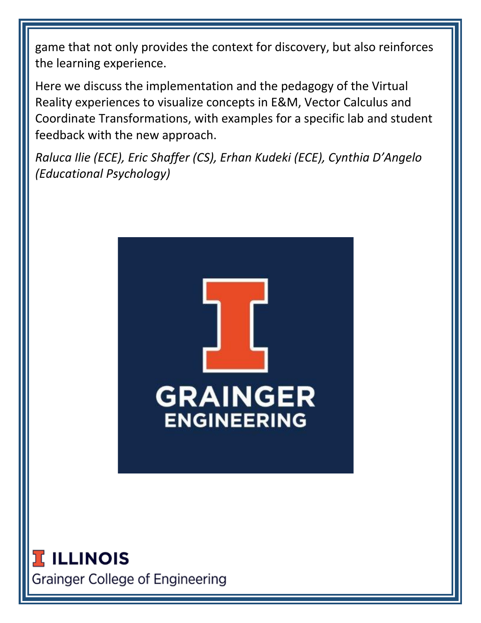game that not only provides the context for discovery, but also reinforces the learning experience.

Here we discuss the implementation and the pedagogy of the Virtual Reality experiences to visualize concepts in E&M, Vector Calculus and Coordinate Transformations, with examples for a specific lab and student feedback with the new approach.

*Raluca Ilie (ECE), Eric Shaffer (CS), Erhan Kudeki (ECE), Cynthia D'Angelo (Educational Psychology)*